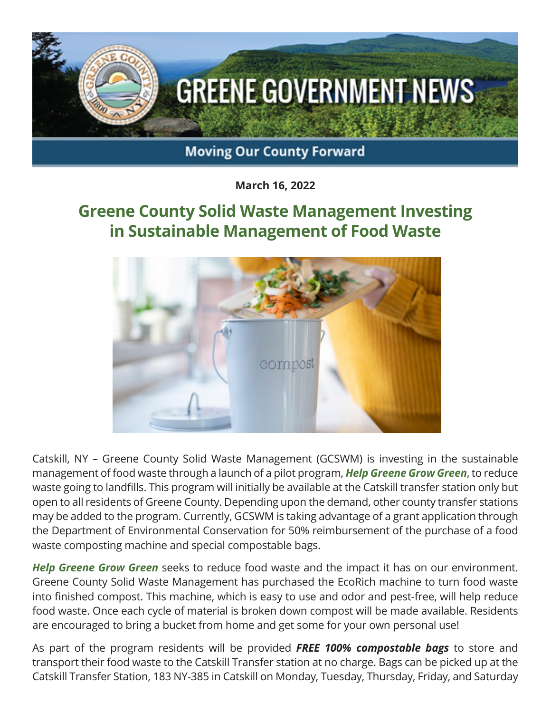

**March 16, 2022**

## **Greene County Solid Waste Management Investing in Sustainable Management of Food Waste**



Catskill, NY – Greene County Solid Waste Management (GCSWM) is investing in the sustainable management of food waste through a launch of a pilot program, *Help Greene Grow Green*, to reduce waste going to landfills. This program will initially be available at the Catskill transfer station only but open to all residents of Greene County. Depending upon the demand, other county transfer stations may be added to the program. Currently, GCSWM is taking advantage of a grant application through the Department of Environmental Conservation for 50% reimbursement of the purchase of a food waste composting machine and special compostable bags.

*Help Greene Grow Green* seeks to reduce food waste and the impact it has on our environment. Greene County Solid Waste Management has purchased the EcoRich machine to turn food waste into finished compost. This machine, which is easy to use and odor and pest-free, will help reduce food waste. Once each cycle of material is broken down compost will be made available. Residents are encouraged to bring a bucket from home and get some for your own personal use!

As part of the program residents will be provided *FREE 100% compostable bags* to store and transport their food waste to the Catskill Transfer station at no charge. Bags can be picked up at the Catskill Transfer Station, 183 NY-385 in Catskill on Monday, Tuesday, Thursday, Friday, and Saturday